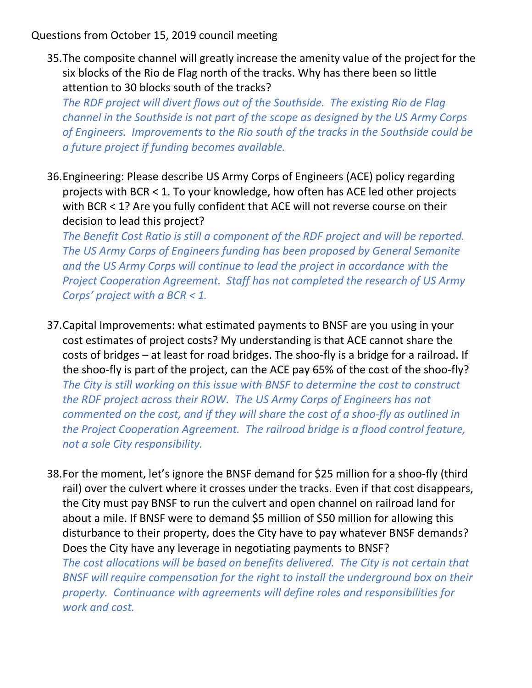Questions from October 15, 2019 council meeting

35.The composite channel will greatly increase the amenity value of the project for the six blocks of the Rio de Flag north of the tracks. Why has there been so little attention to 30 blocks south of the tracks?

The RDF project will divert flows out of the Southside. The existing Rio de Flag channel in the Southside is not part of the scope as designed by the US Army Corps of Engineers. Improvements to the Rio south of the tracks in the Southside could be a future project if funding becomes available.

36.Engineering: Please describe US Army Corps of Engineers (ACE) policy regarding projects with BCR < 1. To your knowledge, how often has ACE led other projects with BCR < 1? Are you fully confident that ACE will not reverse course on their decision to lead this project?

The Benefit Cost Ratio is still a component of the RDF project and will be reported. The US Army Corps of Engineers funding has been proposed by General Semonite and the US Army Corps will continue to lead the project in accordance with the Project Cooperation Agreement. Staff has not completed the research of US Army Corps' project with a BCR < 1.

- 37.Capital Improvements: what estimated payments to BNSF are you using in your cost estimates of project costs? My understanding is that ACE cannot share the costs of bridges – at least for road bridges. The shoo-fly is a bridge for a railroad. If the shoo-fly is part of the project, can the ACE pay 65% of the cost of the shoo-fly? The City is still working on this issue with BNSF to determine the cost to construct the RDF project across their ROW. The US Army Corps of Engineers has not commented on the cost, and if they will share the cost of a shoo-fly as outlined in the Project Cooperation Agreement. The railroad bridge is a flood control feature, not a sole City responsibility.
- 38.For the moment, let's ignore the BNSF demand for \$25 million for a shoo-fly (third rail) over the culvert where it crosses under the tracks. Even if that cost disappears, the City must pay BNSF to run the culvert and open channel on railroad land for about a mile. If BNSF were to demand \$5 million of \$50 million for allowing this disturbance to their property, does the City have to pay whatever BNSF demands? Does the City have any leverage in negotiating payments to BNSF?

The cost allocations will be based on benefits delivered. The City is not certain that BNSF will require compensation for the right to install the underground box on their property. Continuance with agreements will define roles and responsibilities for work and cost.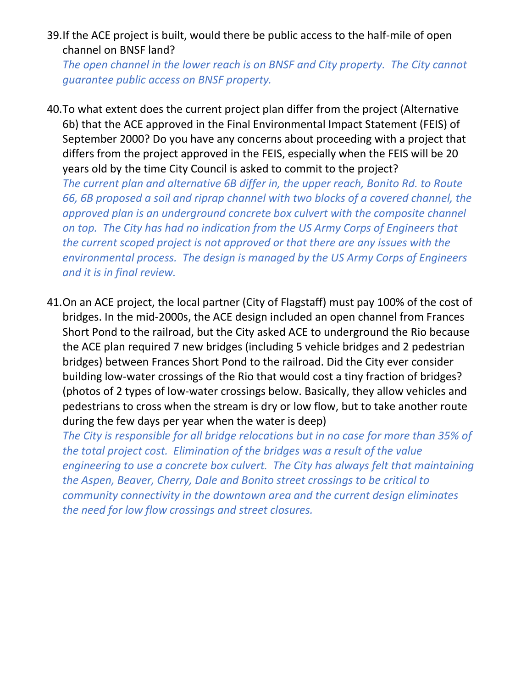39.If the ACE project is built, would there be public access to the half-mile of open channel on BNSF land?

The open channel in the lower reach is on BNSF and City property. The City cannot guarantee public access on BNSF property.

40.To what extent does the current project plan differ from the project (Alternative 6b) that the ACE approved in the Final Environmental Impact Statement (FEIS) of September 2000? Do you have any concerns about proceeding with a project that differs from the project approved in the FEIS, especially when the FEIS will be 20 years old by the time City Council is asked to commit to the project? The current plan and alternative 6B differ in, the upper reach, Bonito Rd. to Route 66, 6B proposed a soil and riprap channel with two blocks of a covered channel, the approved plan is an underground concrete box culvert with the composite channel on top. The City has had no indication from the US Army Corps of Engineers that the current scoped project is not approved or that there are any issues with the environmental process. The design is managed by the US Army Corps of Engineers and it is in final review.

41.On an ACE project, the local partner (City of Flagstaff) must pay 100% of the cost of bridges. In the mid-2000s, the ACE design included an open channel from Frances Short Pond to the railroad, but the City asked ACE to underground the Rio because the ACE plan required 7 new bridges (including 5 vehicle bridges and 2 pedestrian bridges) between Frances Short Pond to the railroad. Did the City ever consider building low-water crossings of the Rio that would cost a tiny fraction of bridges? (photos of 2 types of low-water crossings below. Basically, they allow vehicles and pedestrians to cross when the stream is dry or low flow, but to take another route during the few days per year when the water is deep)

The City is responsible for all bridge relocations but in no case for more than 35% of the total project cost. Elimination of the bridges was a result of the value engineering to use a concrete box culvert. The City has always felt that maintaining the Aspen, Beaver, Cherry, Dale and Bonito street crossings to be critical to community connectivity in the downtown area and the current design eliminates the need for low flow crossings and street closures.